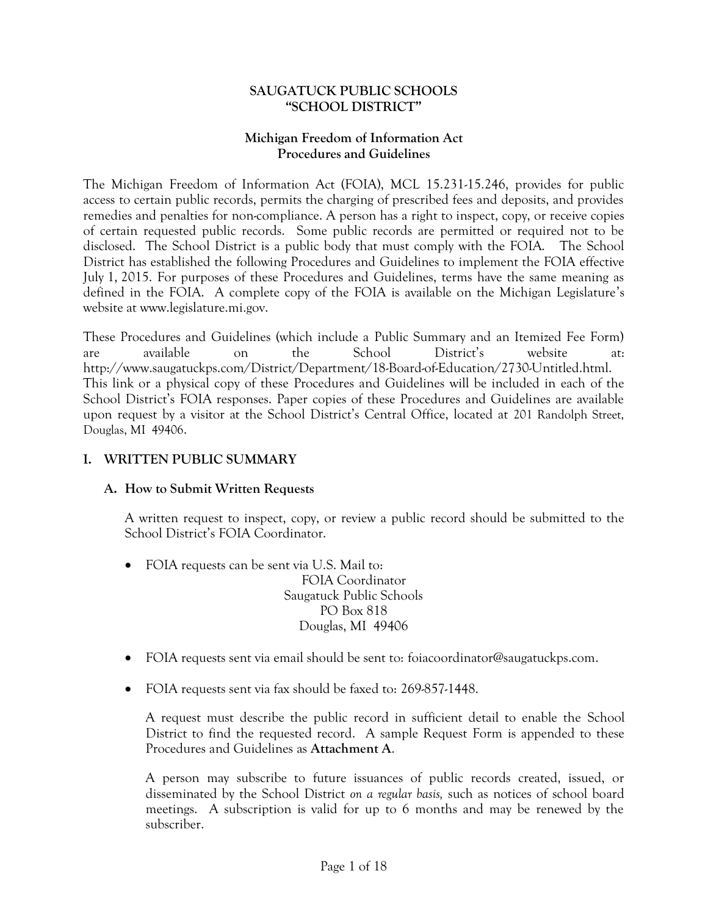#### **SAUGATUCK PUBLIC SCHOOLS "SCHOOL DISTRICT"**

#### **Michigan Freedom of Information Act Procedures and Guidelines**

The Michigan Freedom of Information Act (FOIA), MCL 15.231-15.246, provides for public access to certain public records, permits the charging of prescribed fees and deposits, and provides remedies and penalties for non-compliance. A person has a right to inspect, copy, or receive copies of certain requested public records. Some public records are permitted or required not to be disclosed. The School District is a public body that must comply with the FOIA. The School District has established the following Procedures and Guidelines to implement the FOIA effective July 1, 2015. For purposes of these Procedures and Guidelines, terms have the same meaning as defined in the FOIA. A complete copy of the FOIA is available on the Michigan Legislature's website at www.legislature.mi.gov.

These Procedures and Guidelines (which include a Public Summary and an Itemized Fee Form) are available on the School District's website at: http://www.saugatuckps.com/District/Department/18-Board-of-Education/2730-Untitled.html. This link or a physical copy of these Procedures and Guidelines will be included in each of the School District's FOIA responses. Paper copies of these Procedures and Guidelines are available upon request by a visitor at the School District's Central Office, located at 201 Randolph Street, Douglas, MI 49406.

# **I. WRITTEN PUBLIC SUMMARY**

#### **A. How to Submit Written Requests**

A written request to inspect, copy, or review a public record should be submitted to the School District's FOIA Coordinator.

- FOIA requests can be sent via U.S. Mail to: FOIA Coordinator Saugatuck Public Schools PO Box 818 Douglas, MI 49406
- FOIA requests sent via email should be sent to: foiacoordinator@saugatuckps.com.
- FOIA requests sent via fax should be faxed to: 269-857-1448.

A request must describe the public record in sufficient detail to enable the School District to find the requested record. A sample Request Form is appended to these Procedures and Guidelines as **Attachment A**.

A person may subscribe to future issuances of public records created, issued, or disseminated by the School District *on a regular basis,* such as notices of school board meetings. A subscription is valid for up to 6 months and may be renewed by the subscriber.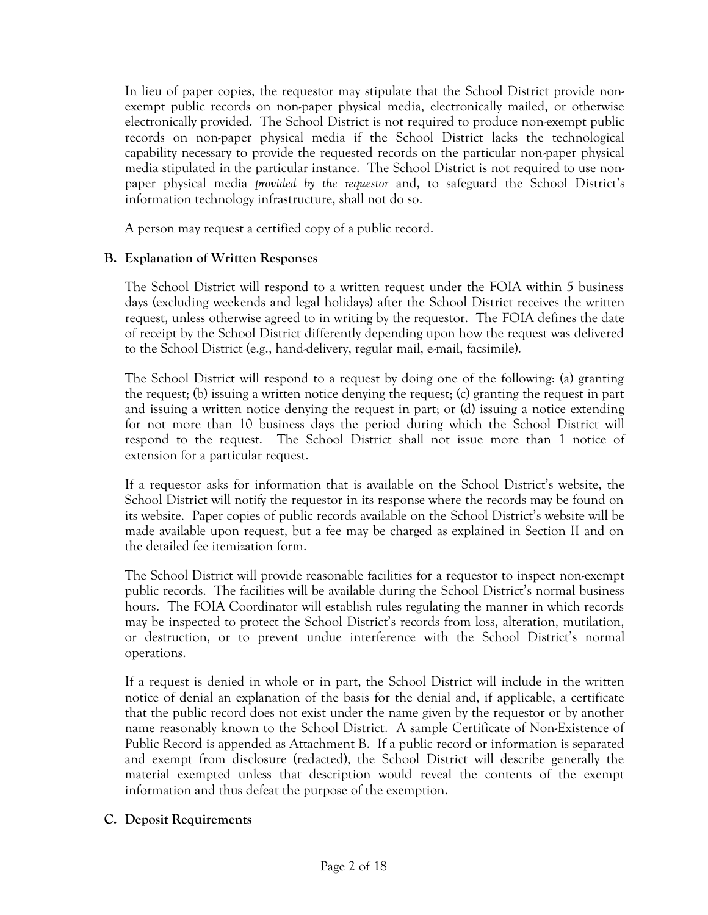In lieu of paper copies, the requestor may stipulate that the School District provide nonexempt public records on non-paper physical media, electronically mailed, or otherwise electronically provided. The School District is not required to produce non-exempt public records on non-paper physical media if the School District lacks the technological capability necessary to provide the requested records on the particular non-paper physical media stipulated in the particular instance. The School District is not required to use nonpaper physical media *provided by the requestor* and, to safeguard the School District's information technology infrastructure, shall not do so.

A person may request a certified copy of a public record.

#### **B. Explanation of Written Responses**

The School District will respond to a written request under the FOIA within 5 business days (excluding weekends and legal holidays) after the School District receives the written request, unless otherwise agreed to in writing by the requestor. The FOIA defines the date of receipt by the School District differently depending upon how the request was delivered to the School District (e.g., hand-delivery, regular mail, e-mail, facsimile).

The School District will respond to a request by doing one of the following: (a) granting the request; (b) issuing a written notice denying the request; (c) granting the request in part and issuing a written notice denying the request in part; or (d) issuing a notice extending for not more than 10 business days the period during which the School District will respond to the request. The School District shall not issue more than 1 notice of extension for a particular request.

If a requestor asks for information that is available on the School District's website, the School District will notify the requestor in its response where the records may be found on its website. Paper copies of public records available on the School District's website will be made available upon request, but a fee may be charged as explained in Section II and on the detailed fee itemization form.

The School District will provide reasonable facilities for a requestor to inspect non-exempt public records. The facilities will be available during the School District's normal business hours. The FOIA Coordinator will establish rules regulating the manner in which records may be inspected to protect the School District's records from loss, alteration, mutilation, or destruction, or to prevent undue interference with the School District's normal operations.

If a request is denied in whole or in part, the School District will include in the written notice of denial an explanation of the basis for the denial and, if applicable, a certificate that the public record does not exist under the name given by the requestor or by another name reasonably known to the School District. A sample Certificate of Non-Existence of Public Record is appended as Attachment B. If a public record or information is separated and exempt from disclosure (redacted), the School District will describe generally the material exempted unless that description would reveal the contents of the exempt information and thus defeat the purpose of the exemption.

# **C. Deposit Requirements**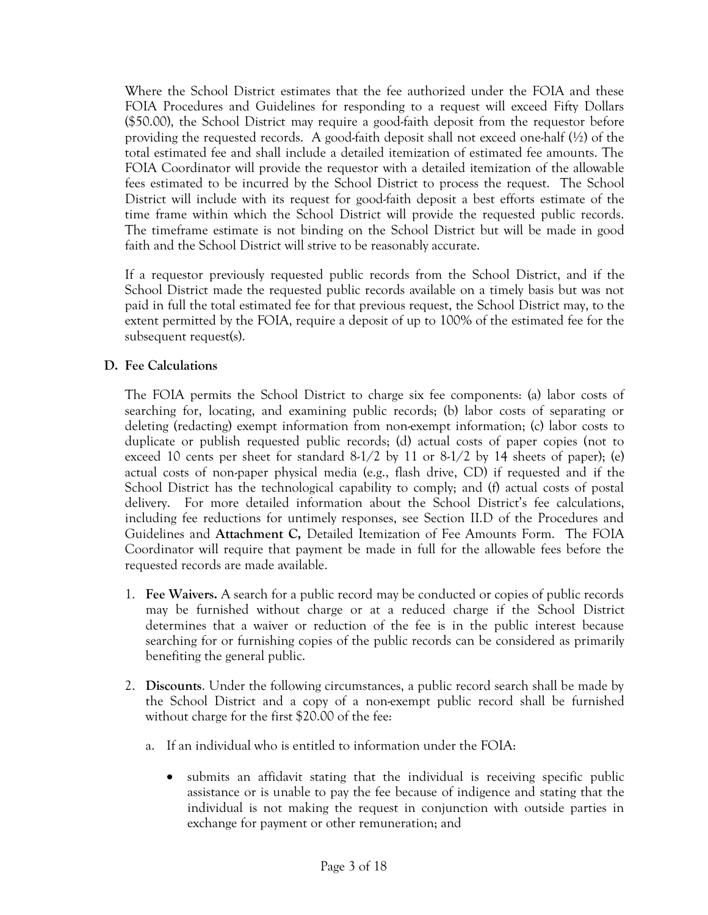Where the School District estimates that the fee authorized under the FOIA and these FOIA Procedures and Guidelines for responding to a request will exceed Fifty Dollars (\$50.00), the School District may require a good-faith deposit from the requestor before providing the requested records. A good-faith deposit shall not exceed one-half  $(\frac{1}{2})$  of the total estimated fee and shall include a detailed itemization of estimated fee amounts. The FOIA Coordinator will provide the requestor with a detailed itemization of the allowable fees estimated to be incurred by the School District to process the request. The School District will include with its request for good-faith deposit a best efforts estimate of the time frame within which the School District will provide the requested public records. The timeframe estimate is not binding on the School District but will be made in good faith and the School District will strive to be reasonably accurate.

If a requestor previously requested public records from the School District, and if the School District made the requested public records available on a timely basis but was not paid in full the total estimated fee for that previous request, the School District may, to the extent permitted by the FOIA, require a deposit of up to 100% of the estimated fee for the subsequent request(s).

# **D. Fee Calculations**

The FOIA permits the School District to charge six fee components: (a) labor costs of searching for, locating, and examining public records; (b) labor costs of separating or deleting (redacting) exempt information from non-exempt information; (c) labor costs to duplicate or publish requested public records; (d) actual costs of paper copies (not to exceed 10 cents per sheet for standard  $8-1/2$  by 11 or  $8-1/2$  by 14 sheets of paper); (e) actual costs of non-paper physical media (e.g., flash drive, CD) if requested and if the School District has the technological capability to comply; and (f) actual costs of postal delivery. For more detailed information about the School District's fee calculations, including fee reductions for untimely responses, see Section II.D of the Procedures and Guidelines and **Attachment C,** Detailed Itemization of Fee Amounts Form. The FOIA Coordinator will require that payment be made in full for the allowable fees before the requested records are made available.

- 1. **Fee Waivers.** A search for a public record may be conducted or copies of public records may be furnished without charge or at a reduced charge if the School District determines that a waiver or reduction of the fee is in the public interest because searching for or furnishing copies of the public records can be considered as primarily benefiting the general public.
- 2. **Discounts**. Under the following circumstances, a public record search shall be made by the School District and a copy of a non-exempt public record shall be furnished without charge for the first \$20.00 of the fee:
	- a. If an individual who is entitled to information under the FOIA:
		- submits an affidavit stating that the individual is receiving specific public assistance or is unable to pay the fee because of indigence and stating that the individual is not making the request in conjunction with outside parties in exchange for payment or other remuneration; and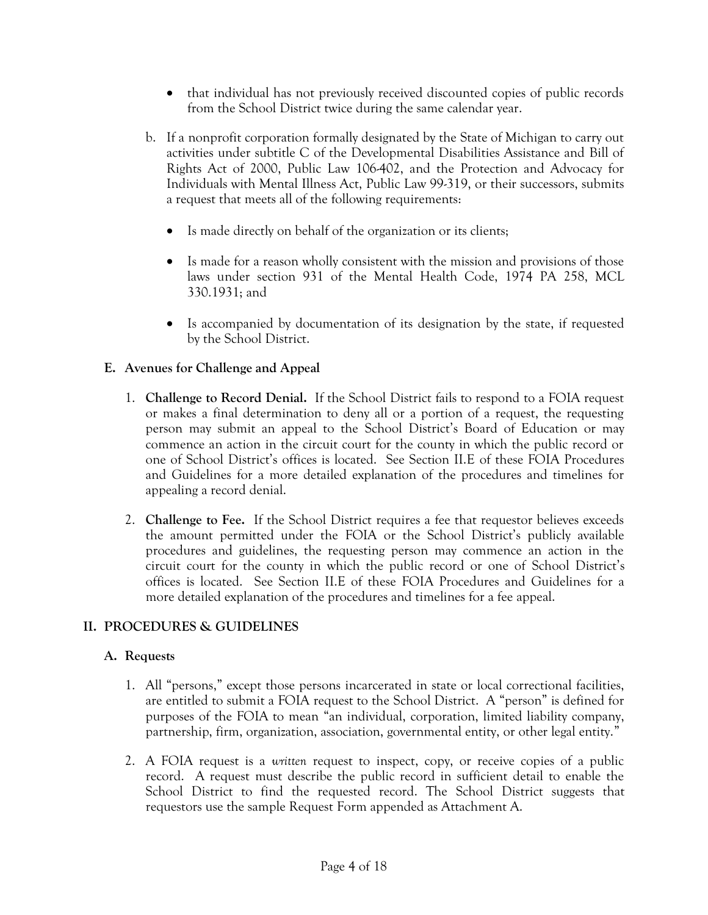- that individual has not previously received discounted copies of public records from the School District twice during the same calendar year.
- b. If a nonprofit corporation formally designated by the State of Michigan to carry out activities under subtitle C of the Developmental Disabilities Assistance and Bill of Rights Act of 2000, Public Law 106-402, and the Protection and Advocacy for Individuals with Mental Illness Act, Public Law 99-319, or their successors, submits a request that meets all of the following requirements:
	- Is made directly on behalf of the organization or its clients;
	- Is made for a reason wholly consistent with the mission and provisions of those laws under section 931 of the Mental Health Code, 1974 PA 258, MCL 330.1931; and
	- Is accompanied by documentation of its designation by the state, if requested by the School District.

# **E. Avenues for Challenge and Appeal**

- 1. **Challenge to Record Denial.** If the School District fails to respond to a FOIA request or makes a final determination to deny all or a portion of a request, the requesting person may submit an appeal to the School District's Board of Education or may commence an action in the circuit court for the county in which the public record or one of School District's offices is located. See Section II.E of these FOIA Procedures and Guidelines for a more detailed explanation of the procedures and timelines for appealing a record denial.
- 2. **Challenge to Fee.** If the School District requires a fee that requestor believes exceeds the amount permitted under the FOIA or the School District's publicly available procedures and guidelines, the requesting person may commence an action in the circuit court for the county in which the public record or one of School District's offices is located. See Section II.E of these FOIA Procedures and Guidelines for a more detailed explanation of the procedures and timelines for a fee appeal.

# **II. PROCEDURES & GUIDELINES**

# **A. Requests**

- 1. All "persons," except those persons incarcerated in state or local correctional facilities, are entitled to submit a FOIA request to the School District. A "person" is defined for purposes of the FOIA to mean "an individual, corporation, limited liability company, partnership, firm, organization, association, governmental entity, or other legal entity."
- 2. A FOIA request is a *written* request to inspect, copy, or receive copies of a public record. A request must describe the public record in sufficient detail to enable the School District to find the requested record. The School District suggests that requestors use the sample Request Form appended as Attachment A.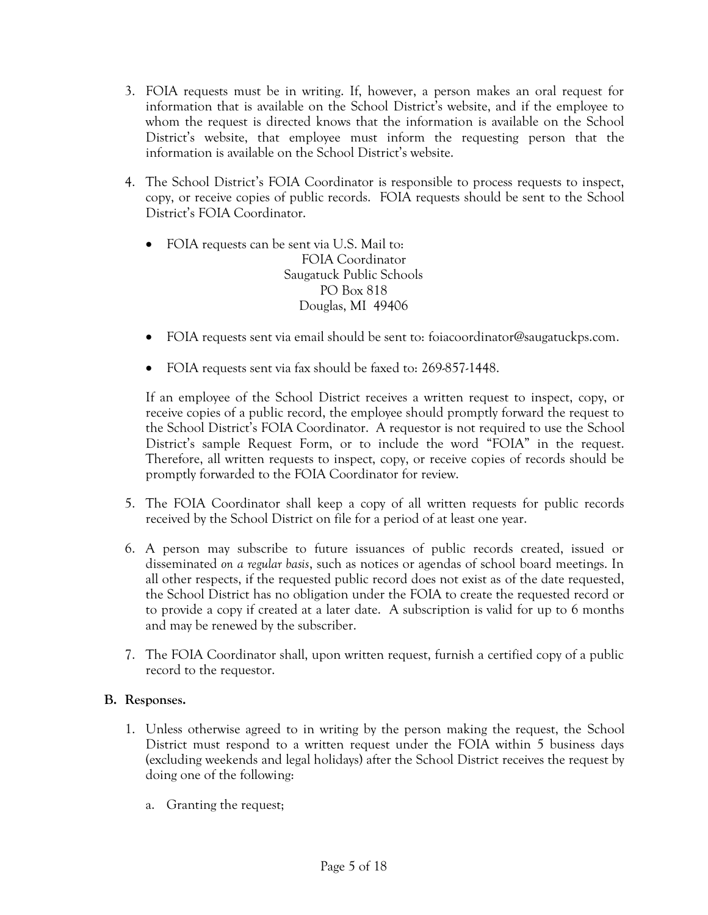- 3. FOIA requests must be in writing. If, however, a person makes an oral request for information that is available on the School District's website, and if the employee to whom the request is directed knows that the information is available on the School District's website, that employee must inform the requesting person that the information is available on the School District's website.
- 4. The School District's FOIA Coordinator is responsible to process requests to inspect, copy, or receive copies of public records. FOIA requests should be sent to the School District's FOIA Coordinator.
	- FOIA requests can be sent via U.S. Mail to: FOIA Coordinator Saugatuck Public Schools PO Box 818 Douglas, MI 49406
	- FOIA requests sent via email should be sent to: foiacoordinator@saugatuckps.com.
	- FOIA requests sent via fax should be faxed to: 269-857-1448.

If an employee of the School District receives a written request to inspect, copy, or receive copies of a public record, the employee should promptly forward the request to the School District's FOIA Coordinator. A requestor is not required to use the School District's sample Request Form, or to include the word "FOIA" in the request. Therefore, all written requests to inspect, copy, or receive copies of records should be promptly forwarded to the FOIA Coordinator for review.

- 5. The FOIA Coordinator shall keep a copy of all written requests for public records received by the School District on file for a period of at least one year.
- 6. A person may subscribe to future issuances of public records created, issued or disseminated *on a regular basis*, such as notices or agendas of school board meetings. In all other respects, if the requested public record does not exist as of the date requested, the School District has no obligation under the FOIA to create the requested record or to provide a copy if created at a later date. A subscription is valid for up to 6 months and may be renewed by the subscriber.
- 7. The FOIA Coordinator shall, upon written request, furnish a certified copy of a public record to the requestor.

#### **B. Responses.**

- 1. Unless otherwise agreed to in writing by the person making the request, the School District must respond to a written request under the FOIA within 5 business days (excluding weekends and legal holidays) after the School District receives the request by doing one of the following:
	- a. Granting the request;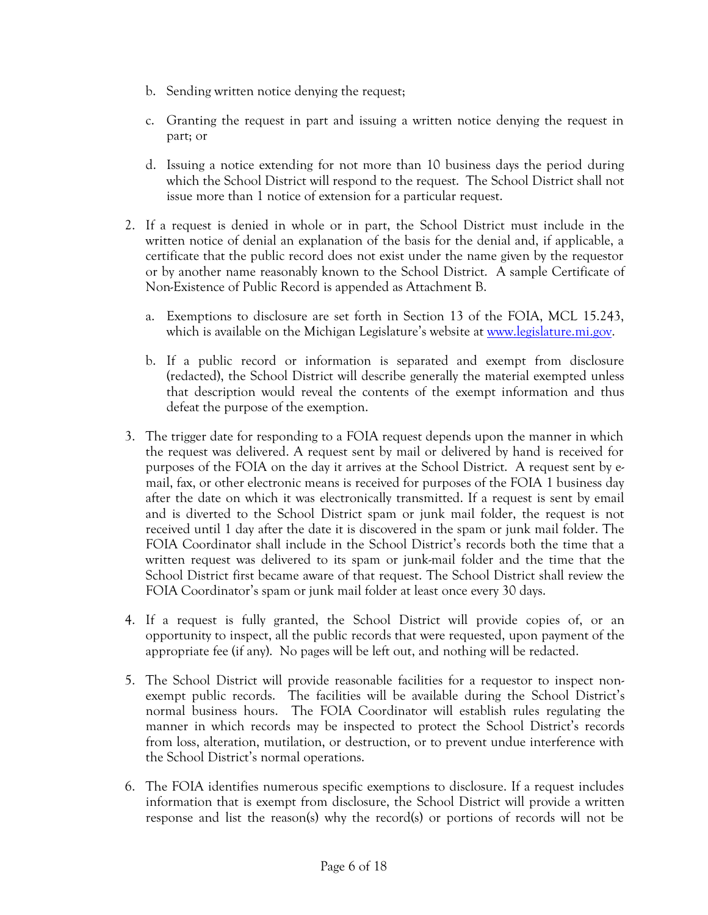- b. Sending written notice denying the request;
- c. Granting the request in part and issuing a written notice denying the request in part; or
- d. Issuing a notice extending for not more than 10 business days the period during which the School District will respond to the request. The School District shall not issue more than 1 notice of extension for a particular request.
- 2. If a request is denied in whole or in part, the School District must include in the written notice of denial an explanation of the basis for the denial and, if applicable, a certificate that the public record does not exist under the name given by the requestor or by another name reasonably known to the School District. A sample Certificate of Non-Existence of Public Record is appended as Attachment B.
	- a. Exemptions to disclosure are set forth in Section 13 of the FOIA, MCL 15.243, which is available on the Michigan Legislature's website at [www.legislature.mi.gov.](http://www.legislature.mi.gov/)
	- b. If a public record or information is separated and exempt from disclosure (redacted), the School District will describe generally the material exempted unless that description would reveal the contents of the exempt information and thus defeat the purpose of the exemption.
- 3. The trigger date for responding to a FOIA request depends upon the manner in which the request was delivered. A request sent by mail or delivered by hand is received for purposes of the FOIA on the day it arrives at the School District. A request sent by email, fax, or other electronic means is received for purposes of the FOIA 1 business day after the date on which it was electronically transmitted. If a request is sent by email and is diverted to the School District spam or junk mail folder, the request is not received until 1 day after the date it is discovered in the spam or junk mail folder. The FOIA Coordinator shall include in the School District's records both the time that a written request was delivered to its spam or junk-mail folder and the time that the School District first became aware of that request. The School District shall review the FOIA Coordinator's spam or junk mail folder at least once every 30 days.
- 4. If a request is fully granted, the School District will provide copies of, or an opportunity to inspect, all the public records that were requested, upon payment of the appropriate fee (if any). No pages will be left out, and nothing will be redacted.
- 5. The School District will provide reasonable facilities for a requestor to inspect nonexempt public records. The facilities will be available during the School District's normal business hours. The FOIA Coordinator will establish rules regulating the manner in which records may be inspected to protect the School District's records from loss, alteration, mutilation, or destruction, or to prevent undue interference with the School District's normal operations.
- 6. The FOIA identifies numerous specific exemptions to disclosure. If a request includes information that is exempt from disclosure, the School District will provide a written response and list the reason(s) why the record(s) or portions of records will not be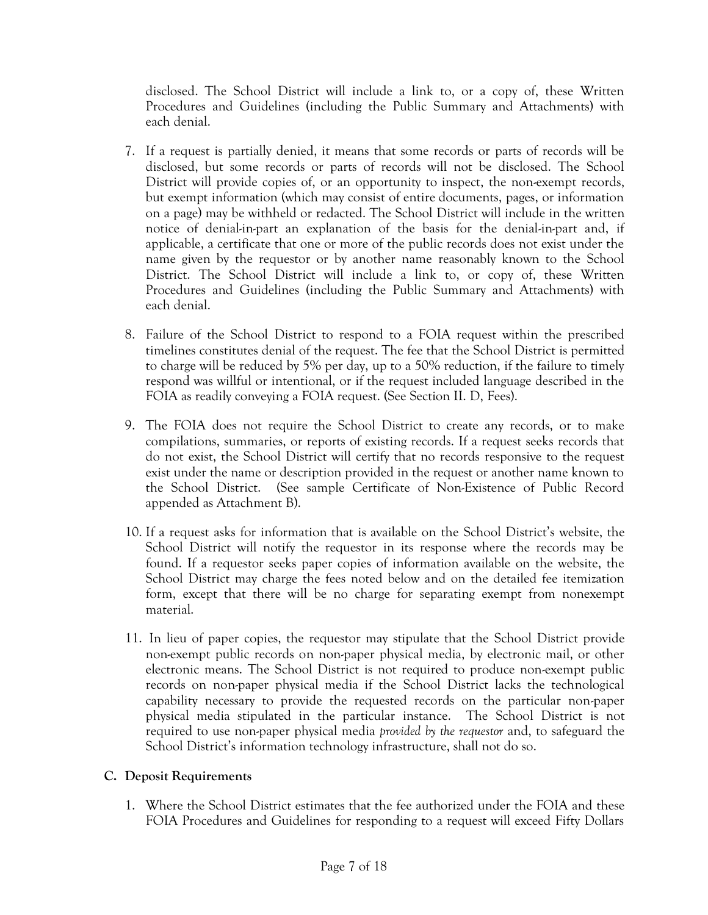disclosed. The School District will include a link to, or a copy of, these Written Procedures and Guidelines (including the Public Summary and Attachments) with each denial.

- 7. If a request is partially denied, it means that some records or parts of records will be disclosed, but some records or parts of records will not be disclosed. The School District will provide copies of, or an opportunity to inspect, the non-exempt records, but exempt information (which may consist of entire documents, pages, or information on a page) may be withheld or redacted. The School District will include in the written notice of denial-in-part an explanation of the basis for the denial-in-part and, if applicable, a certificate that one or more of the public records does not exist under the name given by the requestor or by another name reasonably known to the School District. The School District will include a link to, or copy of, these Written Procedures and Guidelines (including the Public Summary and Attachments) with each denial.
- 8. Failure of the School District to respond to a FOIA request within the prescribed timelines constitutes denial of the request. The fee that the School District is permitted to charge will be reduced by 5% per day, up to a 50% reduction, if the failure to timely respond was willful or intentional, or if the request included language described in the FOIA as readily conveying a FOIA request. (See Section II. D, Fees).
- 9. The FOIA does not require the School District to create any records, or to make compilations, summaries, or reports of existing records. If a request seeks records that do not exist, the School District will certify that no records responsive to the request exist under the name or description provided in the request or another name known to the School District. (See sample Certificate of Non-Existence of Public Record appended as Attachment B).
- 10. If a request asks for information that is available on the School District's website, the School District will notify the requestor in its response where the records may be found. If a requestor seeks paper copies of information available on the website, the School District may charge the fees noted below and on the detailed fee itemization form, except that there will be no charge for separating exempt from nonexempt material.
- 11. In lieu of paper copies, the requestor may stipulate that the School District provide non-exempt public records on non-paper physical media, by electronic mail, or other electronic means. The School District is not required to produce non-exempt public records on non-paper physical media if the School District lacks the technological capability necessary to provide the requested records on the particular non-paper physical media stipulated in the particular instance. The School District is not required to use non-paper physical media *provided by the requestor* and, to safeguard the School District's information technology infrastructure, shall not do so.

# **C. Deposit Requirements**

1. Where the School District estimates that the fee authorized under the FOIA and these FOIA Procedures and Guidelines for responding to a request will exceed Fifty Dollars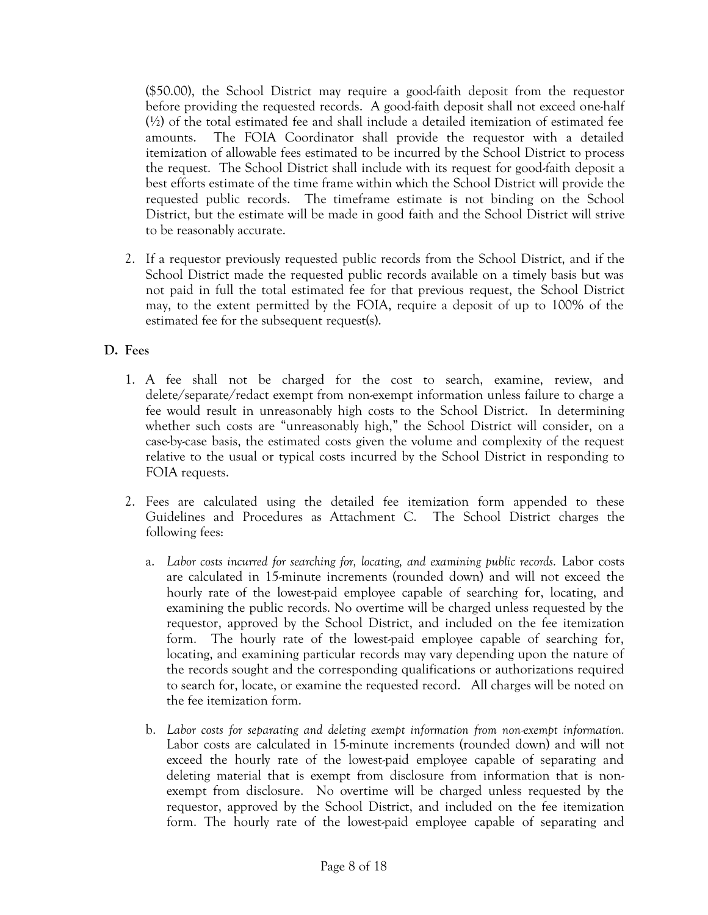(\$50.00), the School District may require a good-faith deposit from the requestor before providing the requested records. A good-faith deposit shall not exceed one-half  $(\frac{1}{2})$  of the total estimated fee and shall include a detailed itemization of estimated fee amounts. The FOIA Coordinator shall provide the requestor with a detailed itemization of allowable fees estimated to be incurred by the School District to process the request. The School District shall include with its request for good-faith deposit a best efforts estimate of the time frame within which the School District will provide the requested public records. The timeframe estimate is not binding on the School District, but the estimate will be made in good faith and the School District will strive to be reasonably accurate.

2. If a requestor previously requested public records from the School District, and if the School District made the requested public records available on a timely basis but was not paid in full the total estimated fee for that previous request, the School District may, to the extent permitted by the FOIA, require a deposit of up to 100% of the estimated fee for the subsequent request(s).

# **D. Fees**

- 1. A fee shall not be charged for the cost to search, examine, review, and delete/separate/redact exempt from non-exempt information unless failure to charge a fee would result in unreasonably high costs to the School District. In determining whether such costs are "unreasonably high," the School District will consider, on a case-by-case basis, the estimated costs given the volume and complexity of the request relative to the usual or typical costs incurred by the School District in responding to FOIA requests.
- 2. Fees are calculated using the detailed fee itemization form appended to these Guidelines and Procedures as Attachment C. The School District charges the following fees:
	- a. *Labor costs incurred for searching for, locating, and examining public records.* Labor costs are calculated in 15-minute increments (rounded down) and will not exceed the hourly rate of the lowest-paid employee capable of searching for, locating, and examining the public records. No overtime will be charged unless requested by the requestor, approved by the School District, and included on the fee itemization form. The hourly rate of the lowest-paid employee capable of searching for, locating, and examining particular records may vary depending upon the nature of the records sought and the corresponding qualifications or authorizations required to search for, locate, or examine the requested record. All charges will be noted on the fee itemization form.
	- b. *Labor costs for separating and deleting exempt information from non-exempt information.*  Labor costs are calculated in 15-minute increments (rounded down) and will not exceed the hourly rate of the lowest-paid employee capable of separating and deleting material that is exempt from disclosure from information that is nonexempt from disclosure. No overtime will be charged unless requested by the requestor, approved by the School District, and included on the fee itemization form. The hourly rate of the lowest-paid employee capable of separating and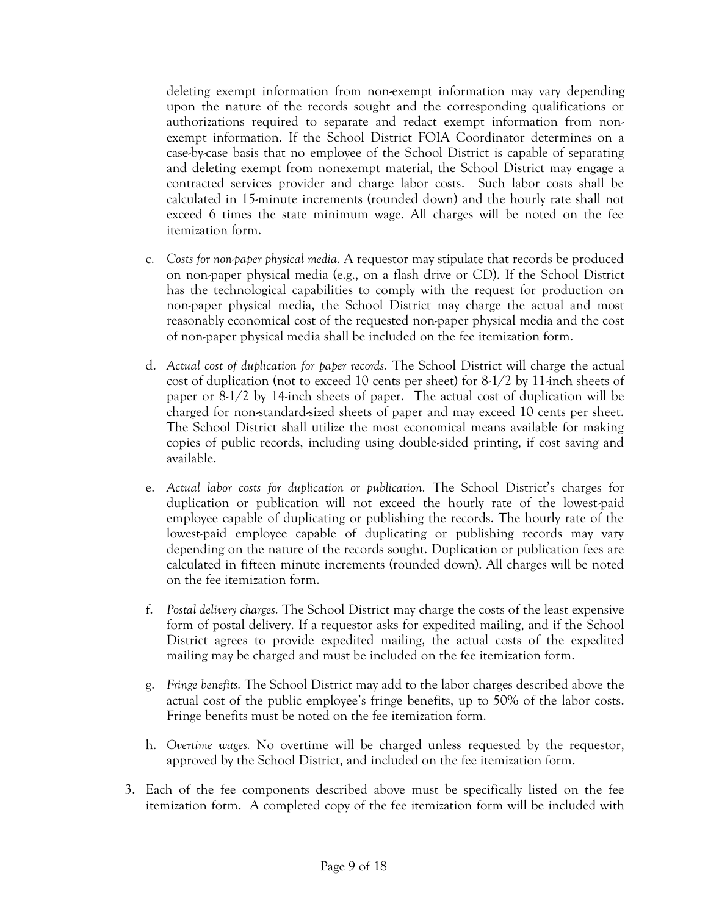deleting exempt information from non-exempt information may vary depending upon the nature of the records sought and the corresponding qualifications or authorizations required to separate and redact exempt information from nonexempt information. If the School District FOIA Coordinator determines on a case-by-case basis that no employee of the School District is capable of separating and deleting exempt from nonexempt material, the School District may engage a contracted services provider and charge labor costs. Such labor costs shall be calculated in 15-minute increments (rounded down) and the hourly rate shall not exceed 6 times the state minimum wage. All charges will be noted on the fee itemization form.

- c. *Costs for non-paper physical media.* A requestor may stipulate that records be produced on non-paper physical media (e.g., on a flash drive or CD). If the School District has the technological capabilities to comply with the request for production on non-paper physical media, the School District may charge the actual and most reasonably economical cost of the requested non-paper physical media and the cost of non-paper physical media shall be included on the fee itemization form.
- d. *Actual cost of duplication for paper records.* The School District will charge the actual cost of duplication (not to exceed 10 cents per sheet) for 8-1/2 by 11-inch sheets of paper or 8-1/2 by 14-inch sheets of paper. The actual cost of duplication will be charged for non-standard-sized sheets of paper and may exceed 10 cents per sheet. The School District shall utilize the most economical means available for making copies of public records, including using double-sided printing, if cost saving and available.
- e. *Actual labor costs for duplication or publication.* The School District's charges for duplication or publication will not exceed the hourly rate of the lowest-paid employee capable of duplicating or publishing the records. The hourly rate of the lowest-paid employee capable of duplicating or publishing records may vary depending on the nature of the records sought. Duplication or publication fees are calculated in fifteen minute increments (rounded down). All charges will be noted on the fee itemization form.
- f. *Postal delivery charges.* The School District may charge the costs of the least expensive form of postal delivery. If a requestor asks for expedited mailing, and if the School District agrees to provide expedited mailing, the actual costs of the expedited mailing may be charged and must be included on the fee itemization form.
- g. *Fringe benefits.* The School District may add to the labor charges described above the actual cost of the public employee's fringe benefits, up to 50% of the labor costs. Fringe benefits must be noted on the fee itemization form.
- h. *Overtime wages.* No overtime will be charged unless requested by the requestor, approved by the School District, and included on the fee itemization form.
- 3. Each of the fee components described above must be specifically listed on the fee itemization form. A completed copy of the fee itemization form will be included with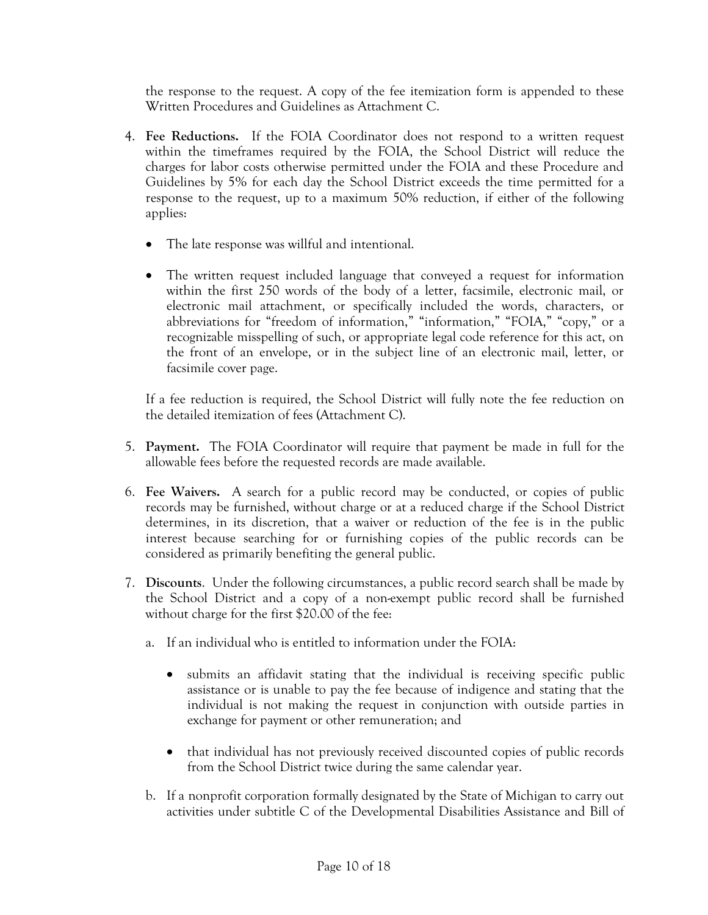the response to the request. A copy of the fee itemization form is appended to these Written Procedures and Guidelines as Attachment C.

- 4. **Fee Reductions.** If the FOIA Coordinator does not respond to a written request within the timeframes required by the FOIA, the School District will reduce the charges for labor costs otherwise permitted under the FOIA and these Procedure and Guidelines by 5% for each day the School District exceeds the time permitted for a response to the request, up to a maximum 50% reduction, if either of the following applies:
	- The late response was willful and intentional.
	- The written request included language that conveyed a request for information within the first 250 words of the body of a letter, facsimile, electronic mail, or electronic mail attachment, or specifically included the words, characters, or abbreviations for "freedom of information," "information," "FOIA," "copy," or a recognizable misspelling of such, or appropriate legal code reference for this act, on the front of an envelope, or in the subject line of an electronic mail, letter, or facsimile cover page.

If a fee reduction is required, the School District will fully note the fee reduction on the detailed itemization of fees (Attachment C).

- 5. **Payment.** The FOIA Coordinator will require that payment be made in full for the allowable fees before the requested records are made available.
- 6. **Fee Waivers.** A search for a public record may be conducted, or copies of public records may be furnished, without charge or at a reduced charge if the School District determines, in its discretion, that a waiver or reduction of the fee is in the public interest because searching for or furnishing copies of the public records can be considered as primarily benefiting the general public.
- 7. **Discounts**. Under the following circumstances, a public record search shall be made by the School District and a copy of a non-exempt public record shall be furnished without charge for the first \$20.00 of the fee:
	- a. If an individual who is entitled to information under the FOIA:
		- submits an affidavit stating that the individual is receiving specific public assistance or is unable to pay the fee because of indigence and stating that the individual is not making the request in conjunction with outside parties in exchange for payment or other remuneration; and
		- that individual has not previously received discounted copies of public records from the School District twice during the same calendar year.
	- b. If a nonprofit corporation formally designated by the State of Michigan to carry out activities under subtitle C of the Developmental Disabilities Assistance and Bill of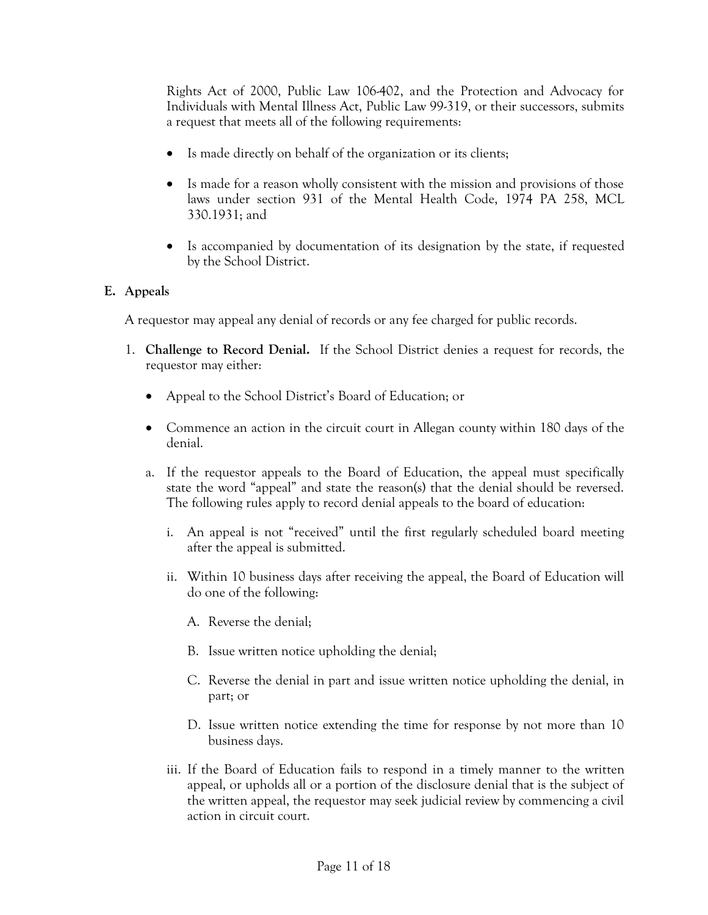Rights Act of 2000, Public Law 106-402, and the Protection and Advocacy for Individuals with Mental Illness Act, Public Law 99-319, or their successors, submits a request that meets all of the following requirements:

- Is made directly on behalf of the organization or its clients;
- Is made for a reason wholly consistent with the mission and provisions of those laws under section 931 of the Mental Health Code, 1974 PA 258, MCL 330.1931; and
- Is accompanied by documentation of its designation by the state, if requested by the School District.

# **E. Appeals**

A requestor may appeal any denial of records or any fee charged for public records.

- 1. **Challenge to Record Denial.** If the School District denies a request for records, the requestor may either:
	- Appeal to the School District's Board of Education; or
	- Commence an action in the circuit court in Allegan county within 180 days of the denial.
	- a. If the requestor appeals to the Board of Education, the appeal must specifically state the word "appeal" and state the reason(s) that the denial should be reversed. The following rules apply to record denial appeals to the board of education:
		- i. An appeal is not "received" until the first regularly scheduled board meeting after the appeal is submitted.
		- ii. Within 10 business days after receiving the appeal, the Board of Education will do one of the following:
			- A. Reverse the denial;
			- B. Issue written notice upholding the denial;
			- C. Reverse the denial in part and issue written notice upholding the denial, in part; or
			- D. Issue written notice extending the time for response by not more than 10 business days.
		- iii. If the Board of Education fails to respond in a timely manner to the written appeal, or upholds all or a portion of the disclosure denial that is the subject of the written appeal, the requestor may seek judicial review by commencing a civil action in circuit court.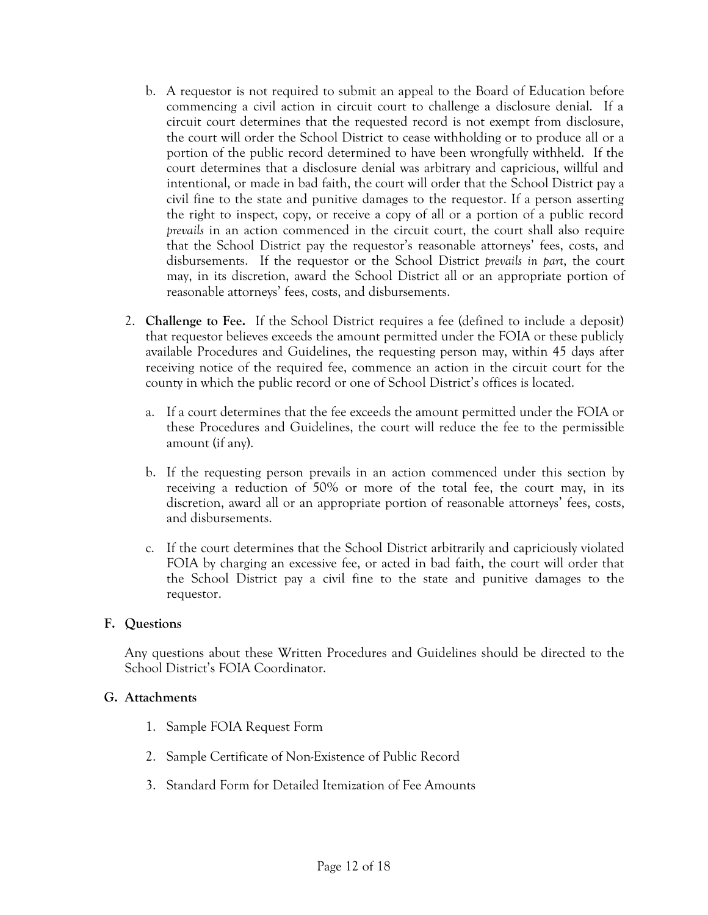- b. A requestor is not required to submit an appeal to the Board of Education before commencing a civil action in circuit court to challenge a disclosure denial. If a circuit court determines that the requested record is not exempt from disclosure, the court will order the School District to cease withholding or to produce all or a portion of the public record determined to have been wrongfully withheld. If the court determines that a disclosure denial was arbitrary and capricious, willful and intentional, or made in bad faith, the court will order that the School District pay a civil fine to the state and punitive damages to the requestor. If a person asserting the right to inspect, copy, or receive a copy of all or a portion of a public record *prevails* in an action commenced in the circuit court, the court shall also require that the School District pay the requestor's reasonable attorneys' fees, costs, and disbursements. If the requestor or the School District *prevails in part*, the court may, in its discretion, award the School District all or an appropriate portion of reasonable attorneys' fees, costs, and disbursements.
- 2. **Challenge to Fee.** If the School District requires a fee (defined to include a deposit) that requestor believes exceeds the amount permitted under the FOIA or these publicly available Procedures and Guidelines, the requesting person may, within 45 days after receiving notice of the required fee, commence an action in the circuit court for the county in which the public record or one of School District's offices is located.
	- a. If a court determines that the fee exceeds the amount permitted under the FOIA or these Procedures and Guidelines, the court will reduce the fee to the permissible amount (if any).
	- b. If the requesting person prevails in an action commenced under this section by receiving a reduction of 50% or more of the total fee, the court may, in its discretion, award all or an appropriate portion of reasonable attorneys' fees, costs, and disbursements.
	- c. If the court determines that the School District arbitrarily and capriciously violated FOIA by charging an excessive fee, or acted in bad faith, the court will order that the School District pay a civil fine to the state and punitive damages to the requestor.

# **F. Questions**

Any questions about these Written Procedures and Guidelines should be directed to the School District's FOIA Coordinator.

#### **G. Attachments**

- 1. Sample FOIA Request Form
- 2. Sample Certificate of Non-Existence of Public Record
- 3. Standard Form for Detailed Itemization of Fee Amounts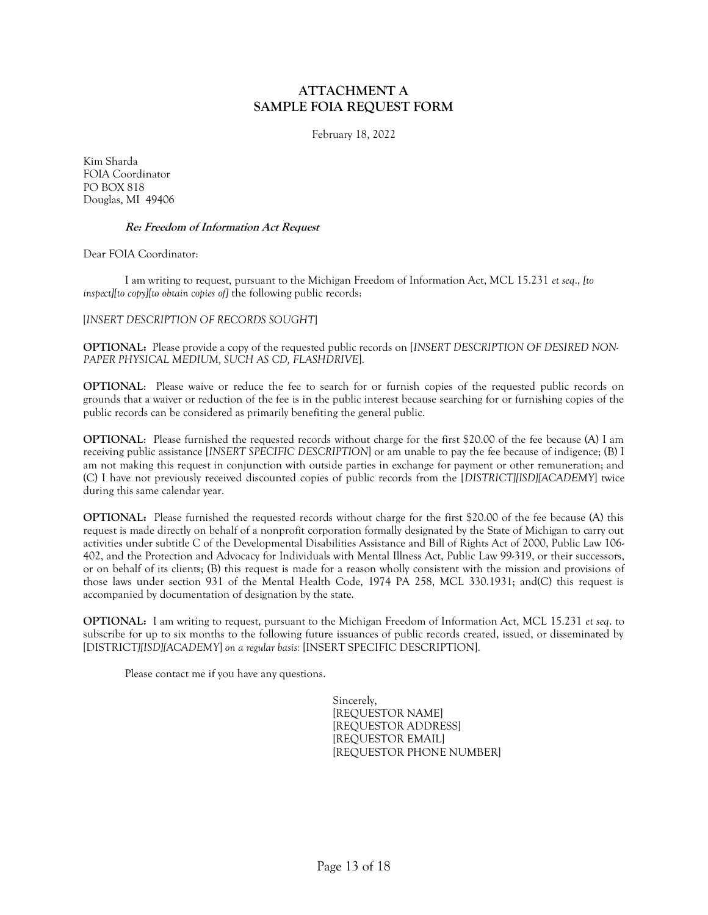#### **ATTACHMENT A SAMPLE FOIA REQUEST FORM**

February 18, 2022

Kim Sharda FOIA Coordinator PO BOX 818 Douglas, MI 49406

#### **Re: Freedom of Information Act Request**

Dear FOIA Coordinator:

I am writing to request, pursuant to the Michigan Freedom of Information Act, MCL 15.231 *et seq*., *[to inspect][to copy][to obtain copies of]* the following public records:

[*INSERT DESCRIPTION OF RECORDS SOUGHT*]

**OPTIONAL:** Please provide a copy of the requested public records on [*INSERT DESCRIPTION OF DESIRED NON-PAPER PHYSICAL MEDIUM, SUCH AS CD, FLASHDRIVE*].

**OPTIONAL**: Please waive or reduce the fee to search for or furnish copies of the requested public records on grounds that a waiver or reduction of the fee is in the public interest because searching for or furnishing copies of the public records can be considered as primarily benefiting the general public.

**OPTIONAL**: Please furnished the requested records without charge for the first \$20.00 of the fee because (A) I am receiving public assistance [*INSERT SPECIFIC DESCRIPTION*] or am unable to pay the fee because of indigence; (B) I am not making this request in conjunction with outside parties in exchange for payment or other remuneration; and (C) I have not previously received discounted copies of public records from the [*DISTRICT][ISD][ACADEMY*] twice during this same calendar year.

**OPTIONAL:** Please furnished the requested records without charge for the first \$20.00 of the fee because (A) this request is made directly on behalf of a nonprofit corporation formally designated by the State of Michigan to carry out activities under subtitle C of the Developmental Disabilities Assistance and Bill of Rights Act of 2000, Public Law 106- 402, and the Protection and Advocacy for Individuals with Mental Illness Act, Public Law 99-319, or their successors, or on behalf of its clients; (B) this request is made for a reason wholly consistent with the mission and provisions of those laws under section 931 of the Mental Health Code, 1974 PA 258, MCL 330.1931; and(C) this request is accompanied by documentation of designation by the state.

**OPTIONAL:** I am writing to request, pursuant to the Michigan Freedom of Information Act, MCL 15.231 *et seq*. to subscribe for up to six months to the following future issuances of public records created, issued, or disseminated by [DISTRICT*][ISD][ACADEMY*] *on a regular basis:* [INSERT SPECIFIC DESCRIPTION].

Please contact me if you have any questions.

Sincerely, [REQUESTOR NAME] [REQUESTOR ADDRESS] [REQUESTOR EMAIL] [REQUESTOR PHONE NUMBER]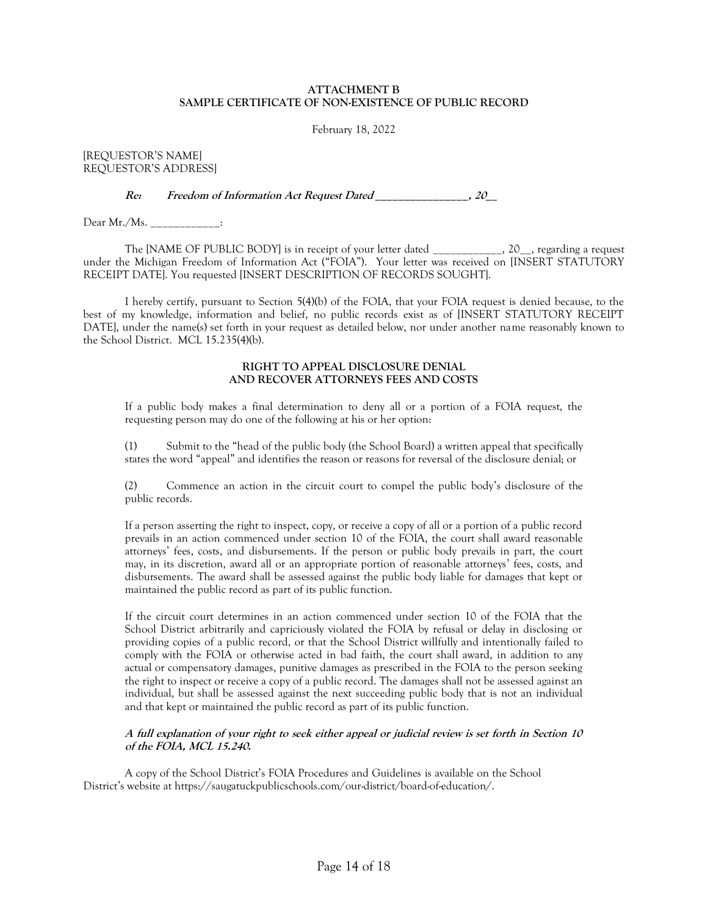#### **ATTACHMENT B SAMPLE CERTIFICATE OF NON-EXISTENCE OF PUBLIC RECORD**

February 18, 2022

[REQUESTOR'S NAME] REQUESTOR'S ADDRESS]

**Re: Freedom of Information Act Request Dated \_\_\_\_\_\_\_\_\_\_\_\_\_\_\_\_, 20\_\_**

Dear Mr./Ms. \_\_\_\_\_\_\_\_\_\_\_\_:

The [NAME OF PUBLIC BODY] is in receipt of your letter dated \_\_\_\_\_\_\_\_\_\_\_\_, 20\_\_, regarding a request under the Michigan Freedom of Information Act ("FOIA"). Your letter was received on [INSERT STATUTORY RECEIPT DATE]. You requested [INSERT DESCRIPTION OF RECORDS SOUGHT].

I hereby certify, pursuant to Section 5(4)(b) of the FOIA, that your FOIA request is denied because, to the best of my knowledge, information and belief, no public records exist as of [INSERT STATUTORY RECEIPT DATE], under the name(s) set forth in your request as detailed below, nor under another name reasonably known to the School District. MCL 15.235(4)(b).

#### **RIGHT TO APPEAL DISCLOSURE DENIAL AND RECOVER ATTORNEYS FEES AND COSTS**

If a public body makes a final determination to deny all or a portion of a FOIA request, the requesting person may do one of the following at his or her option:

(1) Submit to the "head of the public body (the School Board) a written appeal that specifically states the word "appeal" and identifies the reason or reasons for reversal of the disclosure denial; or

(2) Commence an action in the circuit court to compel the public body's disclosure of the public records.

If a person asserting the right to inspect, copy, or receive a copy of all or a portion of a public record prevails in an action commenced under section 10 of the FOIA, the court shall award reasonable attorneys' fees, costs, and disbursements. If the person or public body prevails in part, the court may, in its discretion, award all or an appropriate portion of reasonable attorneys' fees, costs, and disbursements. The award shall be assessed against the public body liable for damages that kept or maintained the public record as part of its public function.

If the circuit court determines in an action commenced under section 10 of the FOIA that the School District arbitrarily and capriciously violated the FOIA by refusal or delay in disclosing or providing copies of a public record, or that the School District willfully and intentionally failed to comply with the FOIA or otherwise acted in bad faith, the court shall award, in addition to any actual or compensatory damages, punitive damages as prescribed in the FOIA to the person seeking the right to inspect or receive a copy of a public record. The damages shall not be assessed against an individual, but shall be assessed against the next succeeding public body that is not an individual and that kept or maintained the public record as part of its public function.

#### **A full explanation of your right to seek either appeal or judicial review is set forth in Section 10 of the FOIA, MCL 15.240.**

A copy of the School District's FOIA Procedures and Guidelines is available on the School District's website at https://saugatuckpublicschools.com/our-district/board-of-education/.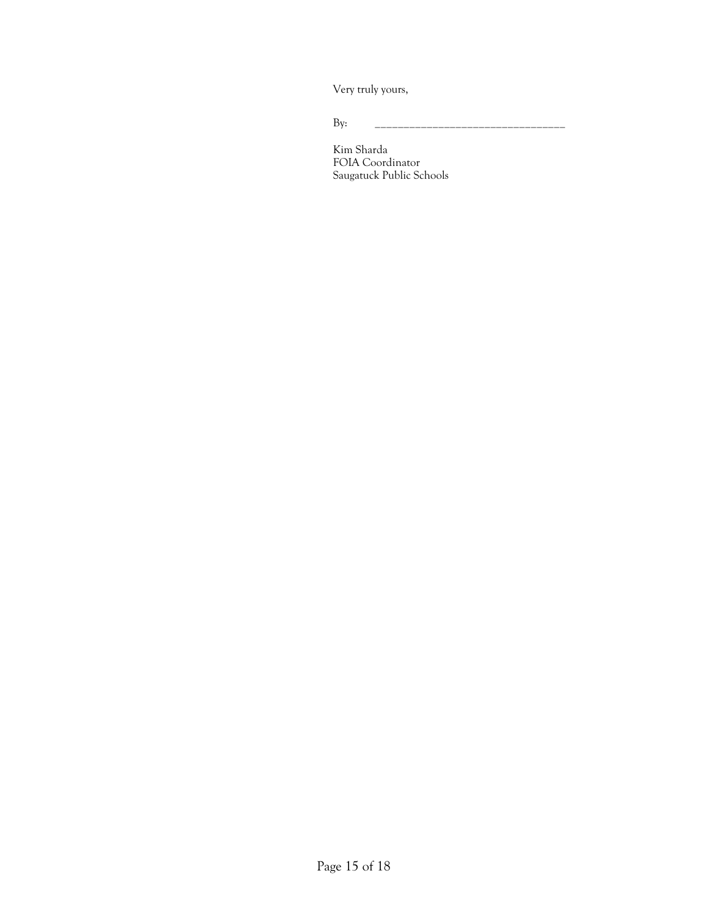Very truly yours,

By: \_\_\_\_\_\_\_\_\_\_\_\_\_\_\_\_\_\_\_\_\_\_\_\_\_\_\_\_\_\_\_\_\_

Kim Sharda FOIA Coordinator Saugatuck Public Schools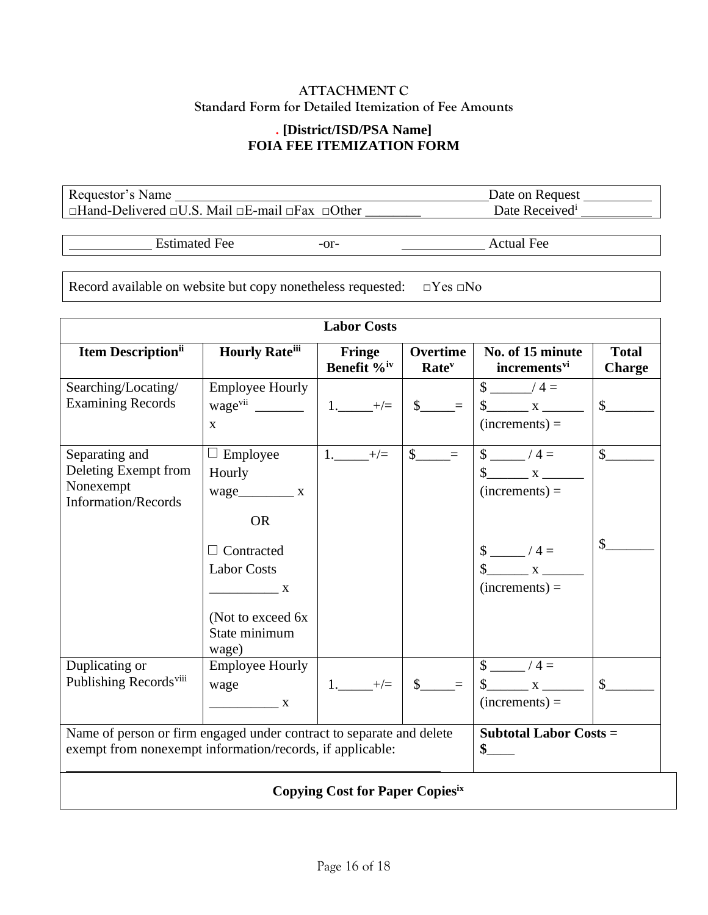# **ATTACHMENT C Standard Form for Detailed Itemization of Fee Amounts**

# **. [District/ISD/PSA Name] FOIA FEE ITEMIZATION FORM**

Requestor's Name Date on Request □Hand-Delivered □U.S. Mail □E-mail □Fax □Other

Estimated Fee  $-$ or- Actual Fee

Record available on website but copy nonetheless requested: □Yes □No

| <b>Labor Costs</b>                                                                                                                |                                                                                                                                                                                                                                                                                                                                                                                                                                                                                                                                                                     |                                          |                                      |                                                                   |                               |
|-----------------------------------------------------------------------------------------------------------------------------------|---------------------------------------------------------------------------------------------------------------------------------------------------------------------------------------------------------------------------------------------------------------------------------------------------------------------------------------------------------------------------------------------------------------------------------------------------------------------------------------------------------------------------------------------------------------------|------------------------------------------|--------------------------------------|-------------------------------------------------------------------|-------------------------------|
| <b>Item Description</b> <sup>ii</sup>                                                                                             | <b>Hourly Rateiii</b>                                                                                                                                                                                                                                                                                                                                                                                                                                                                                                                                               | <b>Fringe</b><br>Benefit % <sup>iv</sup> | Overtime<br><b>Rate</b> <sup>v</sup> | No. of 15 minute<br>increments <sup>vi</sup>                      | <b>Total</b><br><b>Charge</b> |
| Searching/Locating/<br><b>Examining Records</b>                                                                                   | <b>Employee Hourly</b><br>$\mathbf{X}$                                                                                                                                                                                                                                                                                                                                                                                                                                                                                                                              | $1.$ $+/-$                               | $\frac{\S_{\perp}}{\S_{\perp}}$      | $\frac{\sqrt{2}}{2}$ / 4 =<br>$\frac{1}{2}$ x<br>$(increments) =$ | $\mathsf{\$}$                 |
| Separating and<br>Deleting Exempt from<br>Nonexempt<br><b>Information/Records</b>                                                 | $\Box$ Employee<br>Hourly<br>$wage$ $X$<br><b>OR</b>                                                                                                                                                                                                                                                                                                                                                                                                                                                                                                                | $1.$ $+/-$                               | $s$ <sub>_____</sub> =               | $\frac{1}{2}$ /4 =<br>$(increments) =$                            | $\frac{1}{2}$                 |
|                                                                                                                                   | Contracted<br><b>Labor Costs</b><br>$\overline{\phantom{a}}$ $\overline{\phantom{a}}$ $\overline{\phantom{a}}$ $\overline{\phantom{a}}$ $\overline{\phantom{a}}$ $\overline{\phantom{a}}$ $\overline{\phantom{a}}$ $\overline{\phantom{a}}$ $\overline{\phantom{a}}$ $\overline{\phantom{a}}$ $\overline{\phantom{a}}$ $\overline{\phantom{a}}$ $\overline{\phantom{a}}$ $\overline{\phantom{a}}$ $\overline{\phantom{a}}$ $\overline{\phantom{a}}$ $\overline{\phantom{a}}$ $\overline{\phantom{a}}$ $\overline{\$<br>(Not to exceed 6x)<br>State minimum<br>wage) |                                          |                                      | $\frac{\sqrt{2}}{2}$ / 4 =<br>$\int x dx$<br>$(increments) =$     | $\mathcal{L}_{\mathcal{L}}$   |
| Duplicating or<br>Publishing Records <sup>viii</sup>                                                                              | <b>Employee Hourly</b><br>wage<br>$\overline{\mathbf{X}}$                                                                                                                                                                                                                                                                                                                                                                                                                                                                                                           | $1.$ $+/-$                               | $\frac{1}{2}$                        | $\frac{1}{2}$ /4 =<br>$(increments) =$                            | $\mathsf{\$}$                 |
| Name of person or firm engaged under contract to separate and delete<br>exempt from nonexempt information/records, if applicable: |                                                                                                                                                                                                                                                                                                                                                                                                                                                                                                                                                                     |                                          |                                      | <b>Subtotal Labor Costs =</b><br>$\sim$                           |                               |
| <b>Copying Cost for Paper Copiesix</b>                                                                                            |                                                                                                                                                                                                                                                                                                                                                                                                                                                                                                                                                                     |                                          |                                      |                                                                   |                               |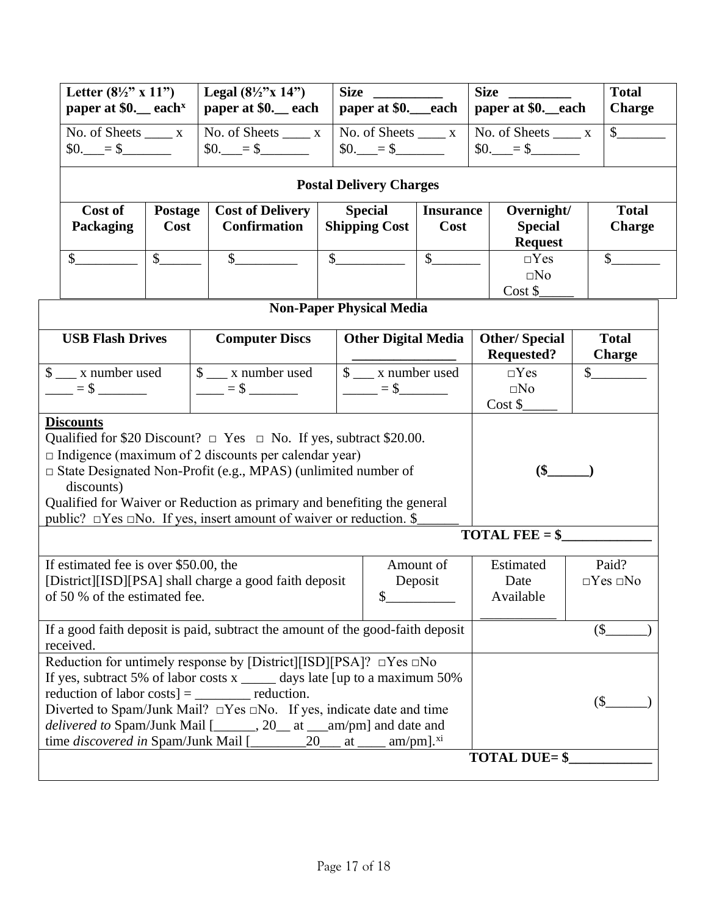| Letter $(8\frac{1}{2}$ " x 11")<br>paper at $$0.$ each <sup>x</sup> | Legal $(8\frac{1}{2}$ "x 14")<br>  paper at \$0._each   paper at \$0._each   paper at \$0._each | <b>Size</b>                          | <b>Size</b>          | <b>Total</b><br><b>Charge</b> |
|---------------------------------------------------------------------|-------------------------------------------------------------------------------------------------|--------------------------------------|----------------------|-------------------------------|
| No. of Sheets<br>$$0. = $$                                          | No. of Sheets<br>$\mathbf{x}$<br>\$0.<br>$=$ S                                                  | No. of Sheets<br><b>SO.</b><br>$=$ S | No. of Sheets<br>SO. |                               |

# **Postal Delivery Charges**

| Cost of<br><b>Packaging</b> | <b>Postage</b><br>Cost | <b>Cost of Delivery</b><br><b>Confirmation</b> | <b>Special</b><br><b>Shipping Cost</b> | <b>Insurance</b><br>Cost | Overnight/<br><b>Special</b><br><b>Request</b> | <b>Total</b><br><b>Charge</b> |
|-----------------------------|------------------------|------------------------------------------------|----------------------------------------|--------------------------|------------------------------------------------|-------------------------------|
|                             |                        |                                                |                                        |                          | $\Box$ Yes<br>$\square$ No<br>Cost \$          |                               |

| <b>Non-Paper Physical Media</b>                                                                                                                                                                                                                                                                                                                                                                                    |                                                                 |                             |                                           |                               |  |
|--------------------------------------------------------------------------------------------------------------------------------------------------------------------------------------------------------------------------------------------------------------------------------------------------------------------------------------------------------------------------------------------------------------------|-----------------------------------------------------------------|-----------------------------|-------------------------------------------|-------------------------------|--|
| <b>USB Flash Drives</b>                                                                                                                                                                                                                                                                                                                                                                                            | <b>Computer Discs</b>                                           | <b>Other Digital Media</b>  | <b>Other/Special</b><br><b>Requested?</b> | <b>Total</b><br><b>Charge</b> |  |
| $\frac{1}{2}$ x number used<br>$=$ $\frac{1}{2}$ $=$ $\frac{1}{2}$ $\frac{1}{2}$ $\frac{1}{2}$ $\frac{1}{2}$ $\frac{1}{2}$ $\frac{1}{2}$ $\frac{1}{2}$ $\frac{1}{2}$ $\frac{1}{2}$ $\frac{1}{2}$ $\frac{1}{2}$ $\frac{1}{2}$ $\frac{1}{2}$ $\frac{1}{2}$ $\frac{1}{2}$ $\frac{1}{2}$ $\frac{1}{2}$ $\frac{1}{2}$ $\frac{1}{2}$ $\frac{1}{2}$ $\frac$                                                               | $\frac{1}{2}$ x number used<br>$\frac{1}{2}$ = \$ $\frac{1}{2}$ | $\frac{1}{2}$ x number used | $\neg Yes$<br>$\square$ No<br>Cost \$     | $\mathbb{S}$                  |  |
| <b>Discounts</b><br>Qualified for \$20 Discount? $\Box$ Yes $\Box$ No. If yes, subtract \$20.00.<br>$\Box$ Indigence (maximum of 2 discounts per calendar year)<br>$\Box$ State Designated Non-Profit (e.g., MPAS) (unlimited number of<br>discounts)<br>Qualified for Waiver or Reduction as primary and benefiting the general<br>public? $\Box$ Yes $\Box$ No. If yes, insert amount of waiver or reduction. \$ | $\binom{6}{5}$                                                  |                             |                                           |                               |  |
|                                                                                                                                                                                                                                                                                                                                                                                                                    | <b>TOTAL FEE</b> = $\frac{6}{5}$                                |                             |                                           |                               |  |
| Amount of<br>If estimated fee is over \$50.00, the<br>[District][ISD][PSA] shall charge a good faith deposit<br>Deposit<br>of 50 % of the estimated fee.<br>$\mathbb{S}$                                                                                                                                                                                                                                           |                                                                 |                             | Estimated<br>Date<br>Available            | Paid?<br>$\Box Yes \Box No$   |  |
| If a good faith deposit is paid, subtract the amount of the good-faith deposit<br>received.                                                                                                                                                                                                                                                                                                                        |                                                                 | $($ \$                      |                                           |                               |  |
| Reduction for untimely response by [District][ISD][PSA]? $\Box$ Yes $\Box$ No<br>If yes, subtract 5% of labor costs $x$ _______ days late [up to a maximum 50%<br>reduction of labor costs] $=$ ___________ reduction.<br>Diverted to Spam/Junk Mail? $\Box$ Yes $\Box$ No. If yes, indicate date and time<br>delivered to Spam/Junk Mail [______, 20__ at __am/pm] and date and                                   |                                                                 | $($ \$                      |                                           |                               |  |
| <b>TOTAL DUE= \$</b>                                                                                                                                                                                                                                                                                                                                                                                               |                                                                 |                             |                                           |                               |  |